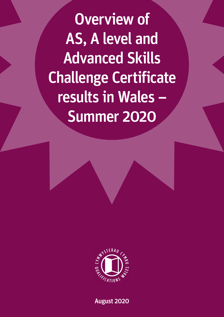Overview of AS, A level and Advanced Skills Challenge Certificate results in Wales – Summer 2020



August 2020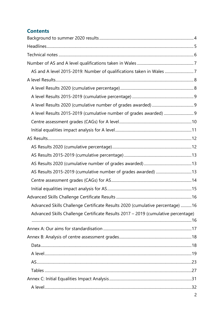# **Contents**

| AS and A level 2015-2019: Number of qualifications taken in Wales 7               |  |
|-----------------------------------------------------------------------------------|--|
|                                                                                   |  |
|                                                                                   |  |
|                                                                                   |  |
|                                                                                   |  |
|                                                                                   |  |
|                                                                                   |  |
|                                                                                   |  |
|                                                                                   |  |
|                                                                                   |  |
|                                                                                   |  |
|                                                                                   |  |
|                                                                                   |  |
|                                                                                   |  |
|                                                                                   |  |
|                                                                                   |  |
| Advanced Skills Challenge Certificate Results 2020 (cumulative percentage) 16     |  |
| Advanced Skills Challenge Certificate Results 2017 - 2019 (cumulative percentage) |  |
|                                                                                   |  |
|                                                                                   |  |
|                                                                                   |  |
|                                                                                   |  |
|                                                                                   |  |
|                                                                                   |  |
|                                                                                   |  |
|                                                                                   |  |
|                                                                                   |  |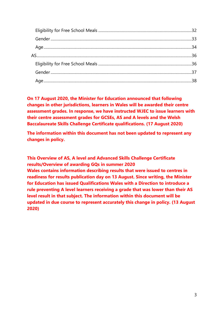**On 17 August 2020, the Minister for Education announced that following changes in other jurisdictions, learners in Wales will be awarded their centre assessment grades. In response, we have instructed WJEC to issue learners with their centre assessment grades for GCSEs, AS and A levels and the Welsh Baccalaureate Skills Challenge Certificate qualifications. (17 August 2020)**

**The information within this document has not been updated to represent any changes in policy.**

<span id="page-2-0"></span>**This Overview of AS, A level and Advanced Skills Challenge Certificate results/Overview of awarding GQs in summer 2020 Wales contains information describing results that were issued to centres in readiness for results publication day on 13 August. Since writing, the Minister for Education has issued Qualifications Wales with a Direction to introduce a rule preventing A level learners receiving a grade that was lower than their AS level result in that subject. The information within this document will be updated in due course to represent accurately this change in policy. (13 August 2020)**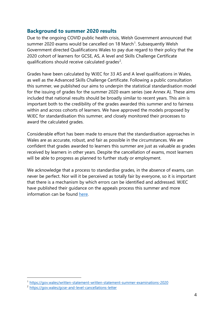## **Background to summer 2020 results**

Due to the ongoing COVID public health crisis, Welsh Government announced that summer 2020 exams would be cancelled on [1](#page-3-0)8 March<sup>1</sup>. Subsequently Welsh Government directed Qualifications Wales to pay due regard to their policy that the 2020 cohort of learners for GCSE, AS, A level and Skills Challenge Certificate qualifications should receive calculated grades<sup>[2](#page-3-1)</sup>.

Grades have been calculated by WJEC for 33 AS and A level qualifications in Wales, as well as the Advanced Skills Challenge Certificate. Following a public consultation this summer, we published our aims to underpin the statistical standardisation model for the issuing of grades for the summer 2020 exam series (see Annex A). These aims included that national results should be broadly similar to recent years. This aim is important both to the credibility of the grades awarded this summer and to fairness within and across cohorts of learners. We have approved the models proposed by WJEC for standardisation this summer, and closely monitored their processes to award the calculated grades.

Considerable effort has been made to ensure that the standardisation approaches in Wales are as accurate, robust, and fair as possible in the circumstances. We are confident that grades awarded to learners this summer are just as valuable as grades received by learners in other years. Despite the cancellation of exams, most learners will be able to progress as planned to further study or employment.

We acknowledge that a process to standardise grades, in the absence of exams, can never be perfect. Nor will it be perceived as totally fair by everyone, so it is important that there is a mechanism by which errors can be identified and addressed. WJEC have published their quidance on the appeals process this summer and more information can be found [here.](https://www.wjec.co.uk/media/zzjdpd4l/guidance-to-appeals-summer-2020-final.pdf)

<span id="page-3-0"></span><sup>1</sup> [https://gov.wales/written-statement-written-statement-summer-examinations-2020](https://eur01.safelinks.protection.outlook.com/?url=https%3A%2F%2Fgov.wales%2Fwritten-statement-written-statement-summer-examinations-2020&data=02%7C01%7CSiwan.Daniel%40gov.wales%7C0a010fc8f26340730b5508d7d5891f6b%7Ca2cc36c592804ae78887d06dab89216b%7C0%7C0%7C637212657503587728&sdata=MbFYLODJRNuW6wLeDRdNfsvsAuo%2BFBRw1JRSYX82MBI%3D&reserved=0)

<span id="page-3-1"></span><sup>2</sup> <https://gov.wales/gcse-and-level-cancellations-letter>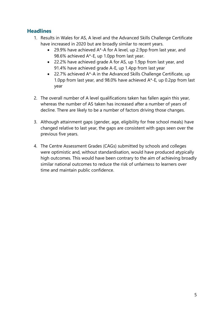# <span id="page-4-0"></span>**Headlines**

- 1. Results in Wales for AS, A level and the Advanced Skills Challenge Certificate have increased in 2020 but are broadly similar to recent years.
	- 29.9% have achieved  $A^*$ -A for A level, up 2.9pp from last year, and 98.6% achieved A\*-E, up 1.0pp from last year.
	- 22.2% have achieved grade A for AS, up 1.9pp from last year, and 91.4% have achieved grade A-E, up 1.4pp from last year
	- 22.7% achieved A\*-A in the Advanced Skills Challenge Certificate, up 1.0pp from last year, and 98.0% have achieved A\*-E, up 0.2pp from last year
- 2. The overall number of A level qualifications taken has fallen again this year, whereas the number of AS taken has increased after a number of years of decline. There are likely to be a number of factors driving those changes.
- 3. Although attainment gaps (gender, age, eligibility for free school meals) have changed relative to last year, the gaps are consistent with gaps seen over the previous five years.
- 4. The Centre Assessment Grades (CAGs) submitted by schools and colleges were optimistic and, without standardisation, would have produced atypically high outcomes. This would have been contrary to the aim of achieving broadly similar national outcomes to reduce the risk of unfairness to learners over time and maintain public confidence.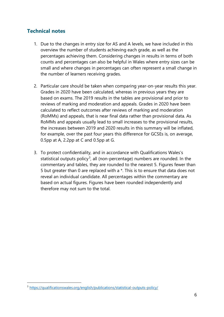# <span id="page-5-0"></span>**Technical notes**

- 1. Due to the changes in entry size for AS and A levels, we have included in this overview the number of students achieving each grade, as well as the percentages achieving them. Considering changes in results in terms of both counts and percentages can also be helpful in Wales where entry sizes can be small and where changes in percentages can often represent a small change in the number of learners receiving grades.
- 2. Particular care should be taken when comparing year-on-year results this year. Grades in 2020 have been calculated, whereas in previous years they are based on exams. The 2019 results in the tables are provisional and prior to reviews of marking and moderation and appeals. Grades in 2020 have been calculated to reflect outcomes after reviews of marking and moderation (RoMMs) and appeals, that is near final data rather than provisional data. As RoMMs and appeals usually lead to small increases to the provisional results, the increases between 2019 and 2020 results in this summary will be inflated, for example, over the past four years this difference for GCSEs is, on average, 0.5pp at A, 2.2pp at C and 0.5pp at G.
- 3. To protect confidentiality, and in accordance with Qualifications Wales's statistical outputs policy<sup>[3](#page-5-1)</sup>, all (non-percentage) numbers are rounded. In the commentary and tables, they are rounded to the nearest 5. Figures fewer than 5 but greater than 0 are replaced with a \*. This is to ensure that data does not reveal an individual candidate. All percentages within the commentary are based on actual figures. Figures have been rounded independently and therefore may not sum to the total.

<span id="page-5-1"></span><sup>3</sup> <https://qualificationswales.org/english/publications/statistical-outputs-policy/>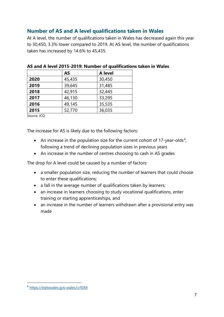# <span id="page-6-0"></span>**Number of AS and A level qualifications taken in Wales**

At A level, the number of qualifications taken in Wales has decreased again this year to 30,450, 3.3% lower compared to 2019. At AS level, the number of qualifications taken has increased by 14.6% to 45,435.

|      | <b>AS</b> | A level |
|------|-----------|---------|
| 2020 | 45,435    | 30,450  |
| 2019 | 39,645    | 31,485  |
| 2018 | 42,915    | 32,445  |
| 2017 | 46,130    | 33,295  |
| 2016 | 49,145    | 35,535  |
| 2015 | 52,770    | 36,035  |

<span id="page-6-1"></span>**AS and A level 2015-2019: Number of qualifications taken in Wales**

Source: JCQ

The increase for AS is likely due to the following factors:

- An increase in the population size for the current cohort of 17-year-olds<sup>[4](#page-6-2)</sup>, following a trend of declining population sizes in previous years
- An increase in the number of centres choosing to cash in AS grades

The drop for A level could be caused by a number of factors:

- a smaller population size, reducing the number of learners that could choose to enter these qualifications;
- a fall in the average number of qualifications taken by learners;
- an increase in learners choosing to study vocational qualifications, enter training or starting apprenticeships, and
- an increase in the number of learners withdrawn after a provisional entry was made

<span id="page-6-2"></span><sup>4</sup> <https://statswales.gov.wales/v/ISIM>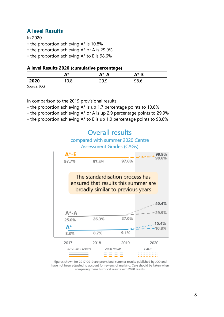## **A level Results**

In 2020

- the proportion achieving A\* is 10.8%
- the proportion achieving A\* or A is 29.9%
- the proportion achieving A\* to E is 98.6%

#### **A level Results 2020 (cumulative percentage)**

|      | Λ*<br>r. | $A^* - A$                   | $A^*$ -E |
|------|----------|-----------------------------|----------|
| 2020 | v.o      | oa c<br>u<br><u>_ , , ,</u> | 98.6     |

Source: JCQ

In comparison to the 2019 provisional results:

- the proportion achieving A\* is up 1.7 percentage points to 10.8%
- the proportion achieving A\* or A is up 2.9 percentage points to 29.9%
- the proportion achieving A\* to E is up 1.0 percentage points to 98.6%



Figures shown for 2017-2019 are provisional summer results published by JCQ and have not been adjusted to account for reviews of marking. Care should be taken when comparing these historical results with 2020 results.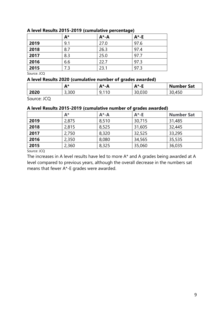|      | $A^*$ | $A^* - A$ | $A^*$ -E |
|------|-------|-----------|----------|
| 2019 | 9.1   | 27.0      | 97.6     |
| 2018 | 8.7   | 26.3      | 97.4     |
| 2017 | 8.3   | 25.0      | 97.7     |
| 2016 | 6.6   | 22.7      | 97.3     |
| 2015 | 7.3   | 23.1      | 97.3     |

#### **A level Results 2015-2019 (cumulative percentage)**

Source: JCQ

#### **A level Results 2020 (cumulative number of grades awarded)**

|      | <b>The State</b><br><b>A</b> *<br>n. | ∆*-∆<br>n | <b>A</b> *<br>- 1<br>- | <b>Number Sat</b> |
|------|--------------------------------------|-----------|------------------------|-------------------|
| 2020 | 3,300                                | 10<br>◡   | 30,030                 | 45<br>30,450      |

Source: JCQ

### **A level Results 2015-2019 (cumulative number of grades awarded)**

|      | $A^*$ | $A^* - A$ | $A^*$ -E | <b>Number Sat</b> |
|------|-------|-----------|----------|-------------------|
| 2019 | 2,875 | 8,510     | 30,715   | 31,485            |
| 2018 | 2,815 | 8,525     | 31,605   | 32,445            |
| 2017 | 2,750 | 8,320     | 32,525   | 33,295            |
| 2016 | 2,350 | 8,080     | 34,565   | 35,535            |
| 2015 | 2,360 | 8,325     | 35,060   | 36,035            |

Source: JCQ

The increases in A level results have led to more A\* and A grades being awarded at A level compared to previous years, although the overall decrease in the numbers sat means that fewer A\*-E grades were awarded.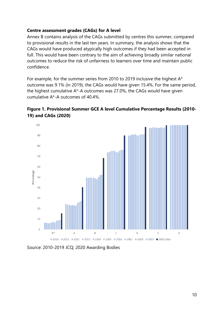### **Centre assessment grades (CAGs) for A level**

Annex B contains analysis of the CAGs submitted by centres this summer, compared to provisional results in the last ten years. In summary, the analysis shows that the CAGs would have produced atypically high outcomes if they had been accepted in full. This would have been contrary to the aim of achieving broadly similar national outcomes to reduce the risk of unfairness to learners over time and maintain public confidence.

For example, for the summer series from 2010 to 2019 inclusive the highest A\* outcome was 9.1% (in 2019), the CAGs would have given 15.4%. For the same period, the highest cumulative A\*-A outcomes was 27.0%, the CAGs would have given cumulative A\*-A outcomes of 40.4%.





Source: 2010-2019 JCQ; 2020 Awarding Bodies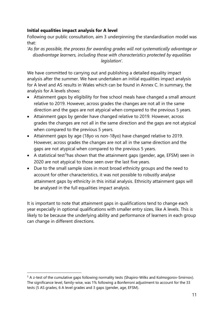### **Initial equalities impact analysis for A level**

Following our public consultation, aim 3 underpinning the standardisation model was that:

*'As far as possible, the process for awarding grades will not systematically advantage or disadvantage learners, including those with characteristics protected by equalities legislation'.*

We have committed to carrying out and publishing a detailed equality impact analysis after the summer. We have undertaken an initial equalities impact analysis for A level and AS results in Wales which can be found in Annex C. In summary, the analysis for A levels shows:

- Attainment gaps by eligibility for free school meals have changed a small amount relative to 2019. However, across grades the changes are not all in the same direction and the gaps are not atypical when compared to the previous 5 years.
- Attainment gaps by gender have changed relative to 2019. However, across grades the changes are not all in the same direction and the gaps are not atypical when compared to the previous 5 years.
- Attainment gaps by age (18yo vs non-18yo) have changed relative to 2019. However, across grades the changes are not all in the same direction and the gaps are not atypical when compared to the previous 5 years.
- A statistical test<sup>[5](#page-10-0)</sup>has shown that the attainment gaps (gender, age, EFSM) seen in 2020 are not atypical to those seen over the last five years.
- Due to the small sample sizes in most broad ethnicity groups and the need to account for other characteristics, it was not possible to robustly analyse attainment gaps by ethnicity in this initial analysis. Ethnicity attainment gaps will be analysed in the full equalities impact analysis.

It is important to note that attainment gaps in qualifications tend to change each year especially in optional qualifications with smaller entry sizes, like A levels. This is likely to be because the underlying ability and performance of learners in each group can change in different directions.

<span id="page-10-0"></span><sup>&</sup>lt;sup>5</sup> A z-test of the cumulative gaps following normality tests (Shapiro-Wilks and Kolmogorov-Smirnov). The significance level, family-wise, was 1% following a Bonferroni adjustment to account for the 33 tests (5 AS grades, 6 A level grades and 3 gaps (gender, age, EFSM).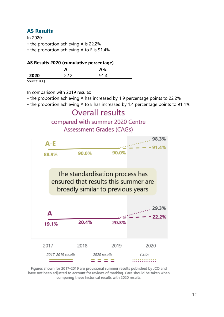# **AS Results**

In 2020:

- the proportion achieving A is 22.2%
- the proportion achieving A to E is 91.4%

#### **AS Results 2020 (cumulative percentage)**

|      | A           | A-r |
|------|-------------|-----|
| 2020 | $\sim$<br>∽ |     |

Source: JCQ

In comparison with 2019 results:

- the proportion achieving A has increased by 1.9 percentage points to 22.2%
- the proportion achieving A to E has increased by 1.4 percentage points to 91.4%



Figures shown for 2017-2019 are provisional summer results published by JCQ and have not been adjusted to account for reviews of marking. Care should be taken when comparing these historical results with 2020 results.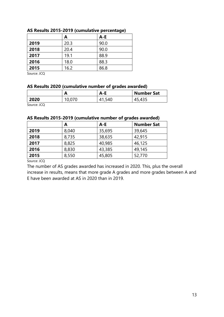|      | A    | $A-E$ |
|------|------|-------|
| 2019 | 20.3 | 90.0  |
| 2018 | 20.4 | 90.0  |
| 2017 | 19.1 | 88.9  |
| 2016 | 18.0 | 88.3  |
| 2015 | 16.2 | 86.8  |

#### **AS Results 2015-2019 (cumulative percentage)**

Source: JCQ

#### **AS Results 2020 (cumulative number of grades awarded)**

|             | Α      | A-E   | <b>Number Sat</b> |
|-------------|--------|-------|-------------------|
| 2020        | 10,070 | 1,540 | 435,د،            |
| Source: JCQ |        |       |                   |

#### **AS Results 2015-2019 (cumulative number of grades awarded)**

|      | Α     | $A - E$ | <b>Number Sat</b> |
|------|-------|---------|-------------------|
| 2019 | 8,040 | 35,695  | 39,645            |
| 2018 | 8,735 | 38,635  | 42,915            |
| 2017 | 8,825 | 40,985  | 46,125            |
| 2016 | 8,830 | 43,385  | 49,145            |
| 2015 | 8,550 | 45,805  | 52,770            |
| $ -$ |       |         |                   |

Source: JCQ

The number of AS grades awarded has increased in 2020. This, plus the overall increase in results, means that more grade A grades and more grades between A and E have been awarded at AS in 2020 than in 2019.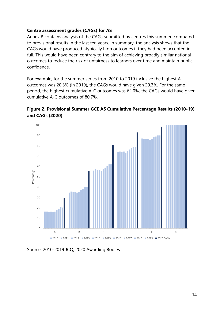### **Centre assessment grades (CAGs) for AS**

Annex B contains analysis of the CAGs submitted by centres this summer, compared to provisional results in the last ten years. In summary, the analysis shows that the CAGs would have produced atypically high outcomes if they had been accepted in full. This would have been contrary to the aim of achieving broadly similar national outcomes to reduce the risk of unfairness to learners over time and maintain public confidence.

For example, for the summer series from 2010 to 2019 inclusive the highest A outcomes was 20.3% (in 2019), the CAGs would have given 29.3%. For the same period, the highest cumulative A-C outcomes was 62.0%, the CAGs would have given cumulative A-C outcomes of 80.7%.





Source: 2010-2019 JCQ; 2020 Awarding Bodies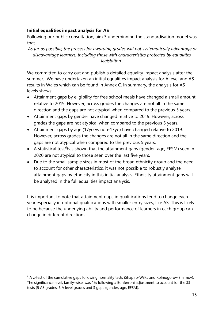## **Initial equalities impact analysis for AS**

Following our public consultation, aim 3 underpinning the standardisation model was that

*'As far as possible, the process for awarding grades will not systematically advantage or disadvantage learners, including those with characteristics protected by equalities legislation'.*

We committed to carry out and publish a detailed equality impact analysis after the summer. We have undertaken an initial equalities impact analysis for A level and AS results in Wales which can be found in Annex C. In summary, the analysis for AS levels shows:

- Attainment gaps by eligibility for free school meals have changed a small amount relative to 2019. However, across grades the changes are not all in the same direction and the gaps are not atypical when compared to the previous 5 years.
- Attainment gaps by gender have changed relative to 2019. However, across grades the gaps are not atypical when compared to the previous 5 years.
- Attainment gaps by age (17yo vs non-17yo) have changed relative to 2019. However, across grades the changes are not all in the same direction and the gaps are not atypical when compared to the previous 5 years.
- A statistical test<sup>[6](#page-14-0)</sup>has shown that the attainment gaps (gender, age, EFSM) seen in 2020 are not atypical to those seen over the last five years.
- Due to the small sample sizes in most of the broad ethnicity group and the need to account for other characteristics, it was not possible to robustly analyse attainment gaps by ethnicity in this initial analysis. Ethnicity attainment gaps will be analysed in the full equalities impact analysis.

It is important to note that attainment gaps in qualifications tend to change each year especially in optional qualifications with smaller entry sizes, like AS. This is likely to be because the underlying ability and performance of learners in each group can change in different directions.

<span id="page-14-0"></span><sup>&</sup>lt;sup>6</sup> A z-test of the cumulative gaps following normality tests (Shapiro-Wilks and Kolmogorov-Smirnov). The significance level, family-wise, was 1% following a Bonferroni adjustment to account for the 33 tests (5 AS grades, 6 A level grades and 3 gaps (gender, age, EFSM).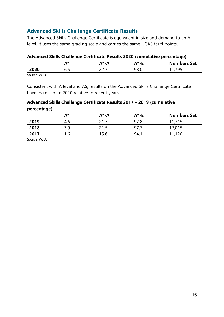# **Advanced Skills Challenge Certificate Results**

The Advanced Skills Challenge Certificate is equivalent in size and demand to an A level. It uses the same grading scale and carries the same UCAS tariff points.

### **Advanced Skills Challenge Certificate Results 2020 (cumulative percentage)**

|      | Λ*<br>r | -4<br>$- \mathbf{\Lambda}$<br>n | <b>A</b> *<br>- 11<br><u>гч</u> | <b>Numbers Sat</b> |
|------|---------|---------------------------------|---------------------------------|--------------------|
| 2020 | 6.5     | $\sim$ $\sim$ $\sim$<br>---     | 98.C                            | <b>س س</b><br>. .  |

Source: WJEC

Consistent with A level and AS, results on the Advanced Skills Challenge Certificate have increased in 2020 relative to recent years.

### **Advanced Skills Challenge Certificate Results 2017 – 2019 (cumulative**

#### **percentage)**

|      | A*  | $A^* - A$ | $A^*$ -E | <b>Numbers Sat</b> |
|------|-----|-----------|----------|--------------------|
| 2019 | 4.6 | ว 1 7     | 97.8     | 11,715             |
| 2018 | 3.9 | 215       | 97.      | 12,015             |
| 2017 | 1.6 | 15.6      | 94.1     | 11,120             |

Source: WJEC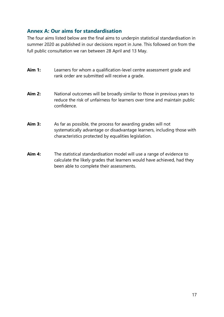# **Annex A: Our aims for standardisation**

The four aims listed below are the final aims to underpin statistical standardisation in summer 2020 as published in our decisions report in June. This followed on from the full public consultation we ran between 28 April and 13 May.

| <b>Aim 1:</b> | Learners for whom a qualification-level centre assessment grade and<br>rank order are submitted will receive a grade.                                              |
|---------------|--------------------------------------------------------------------------------------------------------------------------------------------------------------------|
| <b>Aim 2:</b> | National outcomes will be broadly similar to those in previous years to<br>reduce the risk of unfairness for learners over time and maintain public<br>confidence. |

- Aim 3: As far as possible, the process for awarding grades will not systematically advantage or disadvantage learners, including those with characteristics protected by equalities legislation.
- **Aim 4:** The statistical standardisation model will use a range of evidence to calculate the likely grades that learners would have achieved, had they been able to complete their assessments.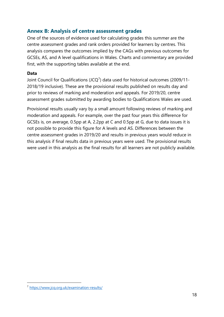# **Annex B: Analysis of centre assessment grades**

One of the sources of evidence used for calculating grades this summer are the centre assessment grades and rank orders provided for learners by centres. This analysis compares the outcomes implied by the CAGs with previous outcomes for GCSEs, AS, and A level qualifications in Wales. Charts and commentary are provided first, with the supporting tables available at the end.

### **Data**

Joint Council for Qualifications (JCQ<sup>[7](#page-17-0)</sup>) data used for historical outcomes (2009/11-2018/19 inclusive). These are the provisional results published on results day and prior to reviews of marking and moderation and appeals. For 2019/20, centre assessment grades submitted by awarding bodies to Qualifications Wales are used.

Provisional results usually vary by a small amount following reviews of marking and moderation and appeals. For example, over the past four years this difference for GCSEs is, on average, 0.5pp at A, 2.2pp at C and 0.5pp at G, due to data issues it is not possible to provide this figure for A levels and AS. Differences between the centre assessment grades in 2019/20 and results in previous years would reduce in this analysis if final results data in previous years were used. The provisional results were used in this analysis as the final results for all learners are not publicly available.

<span id="page-17-0"></span><sup>7</sup> <https://www.jcq.org.uk/examination-results/>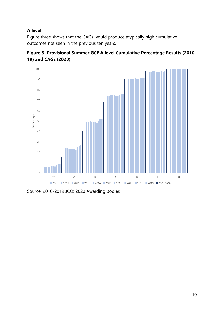## **A level**

Figure three shows that the CAGs would produce atypically high cumulative outcomes not seen in the previous ten years.





Source: 2010-2019 JCQ; 2020 Awarding Bodies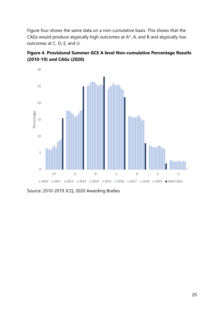Figure four shows the same data on a non-cumulative basis. This shows that the CAGs would produce atypically high outcomes at A\*, A, and B and atypically low outcomes at C, D, E, and U.





Source: 2010-2019 JCQ; 2020 Awarding Bodies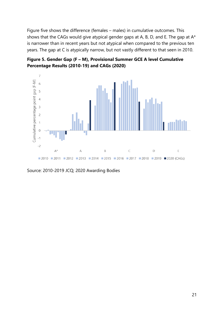Figure five shows the difference (females – males) in cumulative outcomes. This shows that the CAGs would give atypical gender gaps at A, B, D, and E. The gap at  $A^*$ is narrower than in recent years but not atypical when compared to the previous ten years. The gap at C is atypically narrow, but not vastly different to that seen in 2010.

**Figure 5. Gender Gap (F – M), Provisional Summer GCE A level Cumulative Percentage Results (2010-19) and CAGs (2020)**



Source: 2010-2019 JCQ; 2020 Awarding Bodies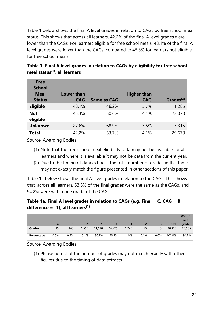Table 1 below shows the final A level grades in relation to CAGs by free school meal status. This shows that across all learners, 42.2% of the final A level grades were lower than the CAGs. For learners eligible for free school meals, 48.1% of the final A level grades were lower than the CAGs, compared to 45.3% for learners not eligible for free school meals.

| <b>Free</b>     |                   |                    |                    |                       |
|-----------------|-------------------|--------------------|--------------------|-----------------------|
| <b>School</b>   |                   |                    |                    |                       |
| <b>Meal</b>     | <b>Lower than</b> |                    | <b>Higher than</b> |                       |
| <b>Status</b>   | <b>CAG</b>        | <b>Same as CAG</b> | <b>CAG</b>         | Grades <sup>(2)</sup> |
| <b>Eligible</b> | 48.1%             | 46.2%              | 5.7%               | 1,285                 |
| <b>Not</b>      | 45.3%             | 50.6%              | 4.1%               | 23,070                |
| eligible        |                   |                    |                    |                       |
| <b>Unknown</b>  | 27.6%             | 68.9%              | 3.5%               | 5,315                 |
| <b>Total</b>    | 42.2%             | 53.7%              | 4.1%               | 29,670                |

**Table 1. Final A level grades in relation to CAGs by eligibility for free school meal status(1), all learners**

Source: Awarding Bodies

- (1) Note that the free school meal eligibility data may not be available for all learners and where it is available it may not be data from the current year.
- (2) Due to the timing of data extracts, the total number of grades in this table may not exactly match the figure presented in other sections of this paper.

Table 1a below shows the final A level grades in relation to the CAGs. This shows that, across all learners, 53.5% of the final grades were the same as the CAGs, and 94.2% were within one grade of the CAG.

## **Table 1a. Final A level grades in relation to CAGs (e.g. Final = C, CAG = B, difference = -1), all learners(1)**

|            | -4      | $-3$ | $-2$  | $-1$   | $\bf{0}$ |       | $\mathbf{2}^r$ | 3    | <b>Total</b> | <b>Within</b><br>one<br>grade |
|------------|---------|------|-------|--------|----------|-------|----------------|------|--------------|-------------------------------|
| Grades     | 15      | 165  | 1,555 | 11,110 | 16,225   | 1,225 | 25             | 5    | 30,315       | 28,555                        |
| Percentage | $0.0\%$ | 0.5% | 5.1%  | 36.7%  | 53.5%    | 4.0%  | 0.1%           | 0.0% | 100.0%       | 94.2%                         |

Source: Awarding Bodies

(1) Please note that the number of grades may not match exactly with other figures due to the timing of data extracts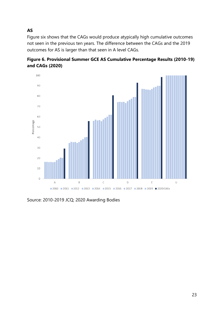**AS**

Figure six shows that the CAGs would produce atypically high cumulative outcomes not seen in the previous ten years. The difference between the CAGs and the 2019 outcomes for AS is larger than that seen in A level CAGs.



**Figure 6. Provisional Summer GCE AS Cumulative Percentage Results (2010-19) and CAGs (2020)**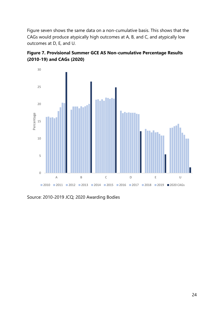Figure seven shows the same data on a non-cumulative basis. This shows that the CAGs would produce atypically high outcomes at A, B, and C, and atypically low outcomes at D, E, and U.





Source: 2010-2019 JCQ; 2020 Awarding Bodies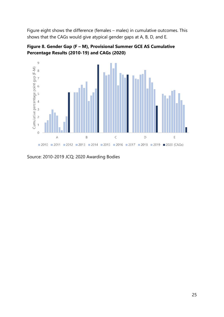Figure eight shows the difference (females – males) in cumulative outcomes. This shows that the CAGs would give atypical gender gaps at A, B, D, and E.





Source: 2010-2019 JCQ; 2020 Awarding Bodies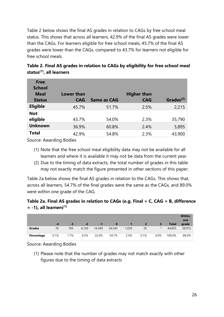Table 2 below shows the final AS grades in relation to CAGs by free school meal status. This shows that across all learners, 42.9% of the final AS grades were lower than the CAGs. For learners eligible for free school meals, 45.7% of the final AS grades were lower than the CAGs, compared to 43.7% for learners not eligible for free school meals.

| <b>Free</b><br><b>School</b><br><b>Meal</b><br><b>Status</b> | <b>Lower than</b><br><b>CAG</b> | <b>Same as CAG</b> | <b>Higher than</b><br><b>CAG</b> | Grades $(2)$ |
|--------------------------------------------------------------|---------------------------------|--------------------|----------------------------------|--------------|
| <b>Eligible</b>                                              | 45.7%                           | 51.7%              | 2.5%                             | 2,215        |
| <b>Not</b>                                                   |                                 |                    |                                  |              |
| eligible                                                     | 43.7%                           | 54.0%              | 2.3%                             | 35,790       |
| <b>Unknown</b>                                               | 36.9%                           | 60.8%              | 2.4%                             | 5,895        |
| <b>Total</b>                                                 | 42.9%                           | 54.8%              | 2.3%                             | 43,900       |

**Table 2. Final AS grades in relation to CAGs by eligibility for free school meal status(1), all learners**

Source: Awarding Bodies

- (1) Note that the free school meal eligibility data may not be available for all learners and where it is available it may not be data from the current year.
- (2) Due to the timing of data extracts, the total number of grades in this table may not exactly match the figure presented in other sections of this paper.

Table 2a below shows the final AS grades in relation to the CAGs. This shows that, across all learners, 54.7% of the final grades were the same as the CAGs, and 89.0% were within one grade of the CAG.

## **Table 2a. Final AS grades in relation to CAGs (e.g. Final = C, CAG = B, difference = -1), all learners(1)**

|               |      |      |       |        |          |       |              |         |              | <b>Within</b><br>one |
|---------------|------|------|-------|--------|----------|-------|--------------|---------|--------------|----------------------|
|               | -4   | $-3$ | $-2$  | -1     | $\bf{0}$ |       | $\mathbf{2}$ |         | <b>Total</b> | grade                |
| <b>Grades</b> | 35   | 765  | 4,120 | 14,340 | 24,545   | 1,030 | 25           | $\star$ | 44,855       | 39,915               |
| Percentage    | 0.1% | 1.7% | 9.2%  | 32.0%  | 54.7%    | 2.3%  | 0.1%         | 0.0%    | 100.0%       | $89.0\%$             |

Source: Awarding Bodies

(1) Please note that the number of grades may not match exactly with other figures due to the timing of data extracts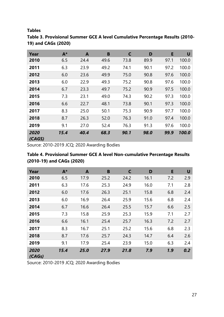#### **Tables**

| Year           | $A^*$ | A    | B    | C    | D    | E    | U     |
|----------------|-------|------|------|------|------|------|-------|
| 2010           | 6.5   | 24.4 | 49.6 | 73.8 | 89.9 | 97.1 | 100.0 |
| 2011           | 6.3   | 23.9 | 49.2 | 74.1 | 90.1 | 97.2 | 100.0 |
| 2012           | 6.0   | 23.6 | 49.9 | 75.0 | 90.8 | 97.6 | 100.0 |
| 2013           | 6.0   | 22.9 | 49.3 | 75.2 | 90.8 | 97.6 | 100.0 |
| 2014           | 6.7   | 23.3 | 49.7 | 75.2 | 90.9 | 97.5 | 100.0 |
| 2015           | 7.3   | 23.1 | 49.0 | 74.3 | 90.2 | 97.3 | 100.0 |
| 2016           | 6.6   | 22.7 | 48.1 | 73.8 | 90.1 | 97.3 | 100.0 |
| 2017           | 8.3   | 25.0 | 50.1 | 75.3 | 90.9 | 97.7 | 100.0 |
| 2018           | 8.7   | 26.3 | 52.0 | 76.3 | 91.0 | 97.4 | 100.0 |
| 2019           | 9.1   | 27.0 | 52.4 | 76.3 | 91.3 | 97.6 | 100.0 |
| 2020<br>(CAGS) | 15.4  | 40.4 | 68.3 | 90.1 | 98.0 | 99.9 | 100.0 |

# **Table 3. Provisional Summer GCE A level Cumulative Percentage Results (2010- 19) and CAGs (2020)**

Source: 2010-2019 JCQ; 2020 Awarding Bodies

## **Table 4. Provisional Summer GCE A level Non-cumulative Percentage Results (2010-19) and CAGs (2020)**

| Year           | $A^*$ | A    | B    | $\mathsf{C}$ | D    | E   | U   |
|----------------|-------|------|------|--------------|------|-----|-----|
| 2010           | 6.5   | 17.9 | 25.2 | 24.2         | 16.1 | 7.2 | 2.9 |
| 2011           | 6.3   | 17.6 | 25.3 | 24.9         | 16.0 | 7.1 | 2.8 |
| 2012           | 6.0   | 17.6 | 26.3 | 25.1         | 15.8 | 6.8 | 2.4 |
| 2013           | 6.0   | 16.9 | 26.4 | 25.9         | 15.6 | 6.8 | 2.4 |
| 2014           | 6.7   | 16.6 | 26.4 | 25.5         | 15.7 | 6.6 | 2.5 |
| 2015           | 7.3   | 15.8 | 25.9 | 25.3         | 15.9 | 7.1 | 2.7 |
| 2016           | 6.6   | 16.1 | 25.4 | 25.7         | 16.3 | 7.2 | 2.7 |
| 2017           | 8.3   | 16.7 | 25.1 | 25.2         | 15.6 | 6.8 | 2.3 |
| 2018           | 8.7   | 17.6 | 25.7 | 24.3         | 14.7 | 6.4 | 2.6 |
| 2019           | 9.1   | 17.9 | 25.4 | 23.9         | 15.0 | 6.3 | 2.4 |
| 2020<br>(CAGs) | 15.4  | 25.0 | 27.9 | 21.8         | 7.9  | 1.9 | 0.2 |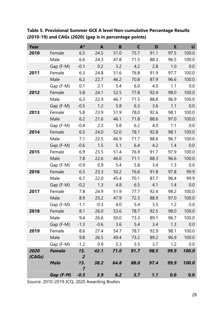**Table 5. Provisional Summer GCE A level Non-cumulative Percentage Results (2010-19) and CAGs (2020) (gap is in percentage points)**

| Year   |               | $A^*$                 | $\mathbf{A}$ | $\mathbf B$ | C    | D    | E    | U     |
|--------|---------------|-----------------------|--------------|-------------|------|------|------|-------|
| 2010   | Female        | 6.5                   | 24.5         | 51.0        | 75.7 | 91.1 | 97.5 | 100.0 |
|        | Male          | 6.6                   | 24.3         | 47.8        | 71.5 | 88.3 | 96.5 | 100.0 |
|        | Gap (F-M)     | $-0.1$                | 0.2          | 3.2         | 4.2  | 2.8  | 1.0  | 0.0   |
| 2011   | Female        | 6.3                   | 24.8         | 51.6        | 76.8 | 91.9 | 97.7 | 100.0 |
|        | Male          | 6.2                   | 22.7         | 46.2        | 70.8 | 87.9 | 96.6 | 100.0 |
|        | Gap (F-M)     | 0.1                   | 2.1          | 5.4         | 6.0  | 4.0  | 1.1  | 0.0   |
| 2012   | Female        | 5.8                   | 24.1         | 52.5        | 77.8 | 92.4 | 98.0 | 100.0 |
|        | Male          | 6.3                   | 22.9         | 46.7        | 71.5 | 88.8 | 96.9 | 100.0 |
|        | Gap (F-M)     | $-0.5$                | 1.2          | 5.8         | 6.3  | 3.6  | 1.1  | 0.0   |
| 2013   | Female        | 5.8                   | 23.9         | 51.9        | 78.0 | 92.6 | 98.1 | 100.0 |
|        | Male          | 6.2                   | 21.6         | 46.1        | 71.8 | 88.6 | 97.0 | 100.0 |
|        | Gap (F-M)     | $-0.4$                | 2.3          | 5.8         | 6.2  | 4.0  | 1.1  | 0.0   |
| 2014   | Female        | 6.5                   | 24.0         | 52.0        | 78.1 | 92.8 | 98.1 | 100.0 |
|        | Male          | 7.1                   | 22.5         | 46.9        | 71.7 | 88.6 | 96.7 | 100.0 |
|        | Gap (F-M)     | $-0.6$                | 1.5          | 5.1         | 6.4  | 4.2  | 1.4  | 0.0   |
| 2015   | Female        | 6.9                   | 23.5         | 51.4        | 76.9 | 91.7 | 97.9 | 100.0 |
|        | Male          | 7.8                   | 22.6         | 46.0        | 71.1 | 88.3 | 96.6 | 100.0 |
|        | Gap (F-M)     | $-0.9$                | 0.9          | 5.4         | 5.8  | 3.4  | 1.3  | 0.0   |
| 2016   | Female        | 6.5                   | 23.3         | 50.2        | 76.6 | 91.8 | 97.8 | 99.9  |
|        | Male          | 6.7                   | 22.0         | 45.4        | 70.1 | 87.7 | 96.4 | 99.9  |
|        | Gap (F-M)     | $-0.2$                | 1.3          | 4.8         | 6.5  | 4.1  | 1.4  | 0.0   |
| 2017   | Female        | 7.8                   | 24.9         | 51.9        | 77.7 | 92.4 | 98.2 | 100.0 |
|        | Male          | 8.9                   | 25.2         | 47.9        | 72.3 | 88.9 | 97.0 | 100.0 |
|        | Gap (F-M)     | $-1.1$                | $-0.3$       | 4.0         | 5.4  | 3.5  | 1.2  | 0.0   |
| 2018   | Female        | 8.1                   | 26.0         | 53.6        | 78.7 | 92.5 | 98.0 | 100.0 |
|        | Male          | 9.4                   | 26.6         | 50.0        | 73.3 | 89.1 | 96.7 | 100.0 |
|        | Gap (F-M)     | $-1.3$                | $-0.6$       | 3.6         | 5.4  | 3.4  | 1.3  | 0.0   |
| 2019   | Female        | 8.6                   | 27.4         | 54.7        | 78.7 | 92.9 | 98.1 | 100.0 |
|        | Male          | 9.8                   | 26.5         | 49.4        | 73.2 | 89.2 | 96.9 | 100.0 |
|        | Gap (F-M)     | $-1.2$                | 0.9          | 5.3         | 5.5  | 3.7  | 1.2  | 0.0   |
| 2020   | <b>Female</b> | 15.                   | 42.1         | 71.0        | 91.7 | 98.5 | 99.9 | 100.0 |
| (CAGs) |               | 2                     |              |             |      |      |      |       |
|        | <b>Male</b>   | 15.<br>$\overline{7}$ | 38.2         | 64.8        | 88.0 | 97.4 | 99.9 | 100.0 |
|        | Gap (F-M)     | $-0.5$                | 3.9          | 6.2         | 3.7  | 1.1  | 0.0  | 0.0   |
|        |               |                       |              |             |      |      |      |       |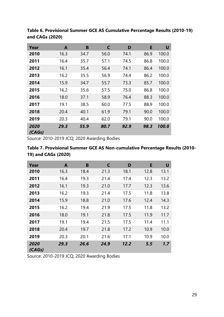| Year           | A    | B    | C    | D    | E    | U     |
|----------------|------|------|------|------|------|-------|
| 2010           | 16.3 | 34.7 | 56.0 | 74.1 | 86.9 | 100.0 |
| 2011           | 16.4 | 35.7 | 57.1 | 74.5 | 86.8 | 100.0 |
| 2012           | 16.1 | 35.4 | 56.4 | 74.1 | 86.4 | 100.0 |
| 2013           | 16.2 | 35.5 | 56.9 | 74.4 | 86.2 | 100.0 |
| 2014           | 15.9 | 34.7 | 55.7 | 73.3 | 85.7 | 100.0 |
| 2015           | 16.2 | 35.6 | 57.5 | 75.0 | 86.8 | 100.0 |
| 2016           | 18.0 | 37.1 | 58.9 | 76.4 | 88.3 | 100.0 |
| 2017           | 19.1 | 38.5 | 60.0 | 77.5 | 88.9 | 100.0 |
| 2018           | 20.4 | 40.1 | 61.9 | 79.1 | 90.0 | 100.0 |
| 2019           | 20.3 | 40.4 | 62.0 | 79.1 | 90.0 | 100.0 |
| 2020<br>(CAGs) | 29.3 | 55.9 | 80.7 | 92.9 | 98.3 | 100.0 |

**Table 6. Provisional Summer GCE AS Cumulative Percentage Results (2010-19) and CAGs (2020)**

Source: 2010-2019 JCQ; 2020 Awarding Bodies

| Table 7. Provisional Summer GCE AS Non-cumulative Percentage Results (2010- |  |
|-----------------------------------------------------------------------------|--|
| 19) and CAGs (2020)                                                         |  |

| Year           | A    | B    | C    | D    | E    | U    |
|----------------|------|------|------|------|------|------|
| 2010           | 16.3 | 18.4 | 21.3 | 18.1 | 12.8 | 13.1 |
| 2011           | 16.4 | 19.3 | 21.4 | 17.4 | 12.3 | 13.2 |
| 2012           | 16.1 | 19.3 | 21.0 | 17.7 | 12.3 | 13.6 |
| 2013           | 16.2 | 19.3 | 21.4 | 17.5 | 11.8 | 13.8 |
| 2014           | 15.9 | 18.8 | 21.0 | 17.6 | 12.4 | 14.3 |
| 2015           | 16.2 | 19.4 | 21.9 | 17.5 | 11.8 | 13.2 |
| 2016           | 18.0 | 19.1 | 21.8 | 17.5 | 11.9 | 11.7 |
| 2017           | 19.1 | 19.4 | 21.5 | 17.5 | 11.4 | 11.1 |
| 2018           | 20.4 | 19.7 | 21.8 | 17.2 | 10.9 | 10.0 |
| 2019           | 20.3 | 20.1 | 21.6 | 17.1 | 10.9 | 10.0 |
| 2020<br>(CAGs) | 29.3 | 26.6 | 24.9 | 12.2 | 5.5  | 1.7  |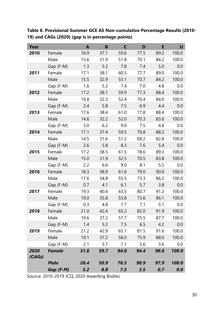**Table 8. Provisional Summer GCE AS Non-cumulative Percentage Results (2010- 19) and CAGs (2020) (gap is in percentage points)**

| Year   |               | $\mathbf{A}$ | B    | $\mathsf{C}$ | D    | E    | U     |
|--------|---------------|--------------|------|--------------|------|------|-------|
| 2010   | Female        | 16.9         | 37.1 | 59.6         | 77.5 | 89.2 | 100.0 |
|        | Male          | 15.6         | 31.9 | 51.8         | 70.1 | 84.2 | 100.0 |
|        | Gap (F-M)     | 1.3          | 5.2  | 7.8          | 7.4  | 5.0  | 0.0   |
| 2011   | Female        | 17.1         | 38.1 | 60.5         | 77.7 | 89.0 | 100.0 |
|        | Male          | 15.5         | 32.9 | 53.1         | 70.7 | 84.2 | 100.0 |
|        | Gap (F-M)     | 1.6          | 5.2  | 7.4          | 7.0  | 4.8  | 0.0   |
| 2012   | Female        | 17.2         | 38.1 | 59.9         | 77.3 | 88.4 | 100.0 |
|        | Male          | 14.8         | 32.3 | 52.4         | 70.4 | 84.0 | 100.0 |
|        | Gap (F-M)     | 2.4          | 5.8  | 7.5          | 6.9  | 4.4  | 0.0   |
| 2013   | Female        | 17.6         | 38.4 | 61.0         | 77.8 | 88.4 | 100.0 |
|        | Male          | 14.6         | 32.2 | 52.0         | 70.3 | 83.6 | 100.0 |
|        | Gap (F-M)     | 3.0          | 6.2  | 9.0          | 7.5  | 4.8  | 0.0   |
| 2014   | Female        | 17.1         | 37.4 | 59.5         | 76.8 | 88.2 | 100.0 |
|        | Male          | 14.5         | 31.6 | 51.2         | 69.2 | 82.8 | 100.0 |
|        | Gap (F-M)     | 2.6          | 5.8  | 8.3          | 7.6  | 5.4  | 0.0   |
| 2015   | Female        | 17.2         | 38.5 | 61.5         | 78.6 | 89.3 | 100.0 |
|        | Male          | 15.0         | 31.9 | 52.5         | 70.5 | 83.8 | 100.0 |
|        | Gap (F-M)     | 2.2          | 6.6  | 9.0          | 8.1  | 5.5  | 0.0   |
| 2016   | Female        | 18.3         | 38.9 | 61.6         | 79.0 | 90.0 | 100.0 |
|        | Male          | 17.6         | 34.8 | 55.5         | 73.3 | 86.2 | 100.0 |
|        | Gap (F-M)     | 0.7          | 4.1  | 6.1          | 5.7  | 3.8  | 0.0   |
| 2017   | Female        | 19.3         | 40.6 | 63.5         | 80.7 | 91.2 | 100.0 |
|        | Male          | 19.0         | 35.8 | 55.8         | 73.6 | 86.1 | 100.0 |
|        | Gap (F-M)     | 0.3          | 4.8  | 7.7          | 7.1  | 5.1  | 0.0   |
| 2018   | Female        | 21.0         | 42.4 | 65.2         | 82.0 | 91.9 | 100.0 |
|        | Male          | 19.6         | 37.2 | 57.7         | 75.5 | 87.7 | 100.0 |
|        | Gap (F-M)     | 1.4          | 5.2  | 7.5          | 6.5  | 4.2  | 0.0   |
| 2019   | Female        | 21.2         | 42.9 | 65.1         | 81.5 | 91.6 | 100.0 |
|        | Male          | 19.1         | 37.2 | 58.0         | 75.9 | 88.0 | 100.0 |
|        | Gap (F-M)     | 2.1          | 5.7  | 7.1          | 5.6  | 3.6  | 0.0   |
| 2020   | <b>Female</b> | 31.6         | 59.7 | 84.0         | 94.4 | 98.6 | 100.0 |
| (CAGs) |               |              |      |              |      |      |       |
|        | <b>Male</b>   | 26.4         | 50.9 | 76.5         | 90.9 | 97.9 | 100.0 |
|        | Gap (F-M)     | 5.2          | 8.8  | 7.5          | 3.5  | 0.7  | 0.0   |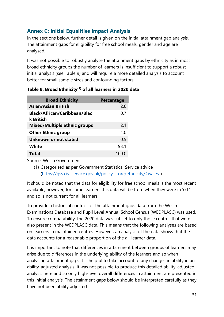# **Annex C: Initial Equalities Impact Analysis**

In the sections below, further detail is given on the initial attainment gap analysis. The attainment gaps for eligibility for free school meals, gender and age are analysed.

It was not possible to robustly analyse the attainment gaps by ethnicity as in most broad ethnicity groups the number of learners is insufficient to support a robust initial analysis (see Table 9) and will require a more detailed analysis to account better for small sample sizes and confounding factors.

| <b>Broad Ethnicity</b>                           | Percentage |
|--------------------------------------------------|------------|
| <b>Asian/Asian British</b>                       | 2.6        |
| <b>Black/African/Caribbean/Blac</b><br>k British | 0.7        |
| <b>Mixed/Multiple ethnic groups</b>              | 2.1        |
| <b>Other Ethnic group</b>                        | 1.0        |
| Unknown or not stated                            | 0.5        |
| <b>White</b>                                     | 93.1       |
| Total                                            |            |

#### **Table 9. Broad Ethnicity(1) of all learners in 2020 data**

Source: Welsh Government

(1) Categorised as per Government Statistical Service advice [\(https://gss.civilservice.gov.uk/policy-store/ethnicity/#wales-\)](https://gss.civilservice.gov.uk/policy-store/ethnicity/#wales-).

It should be noted that the data for eligibility for free school meals is the most recent available, however, for some learners this data will be from when they were in Yr11 and so is not current for all learners.

To provide a historical context for the attainment gaps data from the Welsh Examinations Database and Pupil Level Annual School Census (WEDPLASC) was used. To ensure comparability, the 2020 data was subset to only those centres that were also present in the WEDPLASC data. This means that the following analyses are based on learners in maintained centres. However, an analysis of the data shows that the data accounts for a reasonable proportion of the all-learner data.

It is important to note that differences in attainment between groups of learners may arise due to differences in the underlying ability of the learners and so when analysing attainment gaps it is helpful to take account of any changes in ability in an ability-adjusted analysis. It was not possible to produce this detailed ability-adjusted analysis here and so only high-level overall differences in attainment are presented in this initial analysis. The attainment gaps below should be interpreted carefully as they have not been ability adjusted.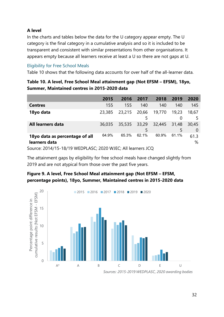### **A level**

In the charts and tables below the data for the U category appear empty. The U category is the final category in a cumulative analysis and so it is included to be transparent and consistent with similar presentations from other organisations. It appears empty because all learners receive at least a U so there are not gaps at U.

### Eligibility for Free School Meals

Table 10 shows that the following data accounts for over half of the all-learner data.

| Table 10. A level, Free School Meal attainment gap (Not EFSM – EFSM), 18yo, |  |
|-----------------------------------------------------------------------------|--|
| Summer, Maintained centres in 2015-2020 data                                |  |

|                                                 | 2015   | 2016         | 2017       | 2018   | 2019       | 2020                    |
|-------------------------------------------------|--------|--------------|------------|--------|------------|-------------------------|
| <b>Centres</b>                                  | 155    | 155          | 140        | 140    | 140        | 145                     |
| 18yo data                                       | 23,385 | 23,215       | 20,66<br>5 | 19,770 | 19,23      | 18,67<br>5              |
| All learners data                               | 36,035 | 35,535 33,29 | 5          | 32,445 | 31,48<br>5 | 30,45<br>$\overline{0}$ |
| 18yo data as percentage of all<br>learners data | 64.9%  | 65.3%        | 62.1%      | 60.9%  | 61.1%      | 61.3<br>%               |

Source: 2014/15-18/19 WEDPLASC; 2020 WJEC; All learners JCQ

The attainment gaps by eligibility for free school meals have changed slightly from 2019 and are not atypical from those over the past five years.

## **Figure 9. A level, Free School Meal attainment gap (Not EFSM – EFSM, percentage points), 18yo, Summer, Maintained centres in 2015-2020 data**



*Sources: 2015-2019 WEDPLASC, 2020 awarding bodies*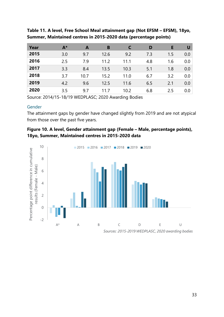| Year | $A^*$ | A    | B    |      | D   | Е   | U       |
|------|-------|------|------|------|-----|-----|---------|
| 2015 | 3.0   | 9.7  | 12.6 | 9.2  | 7.3 | 1.5 | 0.0     |
| 2016 | 2.5   | 7.9  | 11.2 | 11.1 | 4.8 | 1.6 | 0.0     |
| 2017 | 3.3   | 8.4  | 13.5 | 10.3 | 5.1 | 1.8 | 0.0     |
| 2018 | 3.7   | 10.7 | 15.2 | 11.0 | 6.7 | 3.2 | $0.0\,$ |
| 2019 | 4.2   | 9.6  | 12.5 | 11.6 | 6.5 | 2.1 | 0.0     |
| 2020 | 3.5   | 9.7  | 11.7 | 10.2 | 6.8 | 2.5 | $0.0$   |

**Table 11. A level, Free School Meal attainment gap (Not EFSM – EFSM), 18yo, Summer, Maintained centres in 2015-2020 data (percentage points)**

Source: 2014/15-18/19 WEDPLASC; 2020 Awarding Bodies

#### Gender

The attainment gaps by gender have changed slightly from 2019 and are not atypical from those over the past five years.

### **Figure 10. A level, Gender attainment gap (Female – Male, percentage points), 18yo, Summer, Maintained centres in 2015-2020 data**

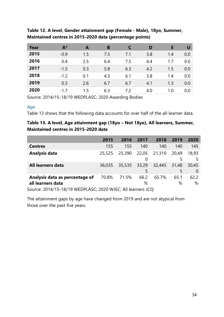| Year | $A^*$  | A   | B   |     | D   | Е   | U                |
|------|--------|-----|-----|-----|-----|-----|------------------|
| 2015 | $-0.9$ | 1.5 | 7.5 | 7.1 | 3.8 | 1.4 | 0.0 <sub>1</sub> |
| 2016 | 0.4    | 2.5 | 6.4 | 7.5 | 4.4 | 1.7 | 0.0 <sub>1</sub> |
| 2017 | $-1.5$ | 0.3 | 5.8 | 6.3 | 4.2 | 1.5 | 0.0 <sub>1</sub> |
| 2018 | $-1.2$ | 0.1 | 4.3 | 6.1 | 3.8 | 1.4 | 0.0              |
| 2019 | 0.3    | 2.6 | 6.7 | 6.7 | 4.1 | 1.3 | $0.0\,$          |
| 2020 | $-1.7$ | 1.5 | 6.3 | 7.2 | 4.0 | 1.0 | 0.0 <sub>1</sub> |

**Table 12. A level, Gender attainment gap (Female - Male), 18yo, Summer, Maintained centres in 2015-2020 data (percentage points)**

Source: 2014/15-18/19 WEDPLASC; 2020 Awarding Bodies

#### Age

Table 13 shows that the following data accounts for over half of the all-learner data.

## **Table 13. A level, Age attainment gap (18yo – Not 18yo), All learners, Summer, Maintained centres in 2015-2020 data**

|                                                       | 2015   | 2016   | 2017       | 2018   | 2019       | 2020              |
|-------------------------------------------------------|--------|--------|------------|--------|------------|-------------------|
| <b>Centres</b>                                        | 155    | 155    | 140        | 140    | 140        | 145               |
| Analysis data                                         | 25,525 | 25,390 | 22,05<br>0 | 21,310 | 20,49<br>5 | 18.93             |
| All learners data                                     | 36,035 | 35,535 | 33,29<br>5 | 32,445 | 31,48<br>5 | 30,45<br>$\Omega$ |
| Analysis data as percentage of                        | 70.8%  | 71.5%  | 66.2       | 65.7%  | 65.1       | 62.2              |
| all learners data                                     |        |        | %          |        | %          | %                 |
| $C_1$ , 2014/15 10/10 WEDDLACC, 2020 WIEC, All L, LCO |        |        |            |        |            |                   |

Source: 2014/15-18/19 WEDPLASC; 2020 WJEC; All learners JCQ

The attainment gaps by age have changed from 2019 and are not atypical from those over the past five years.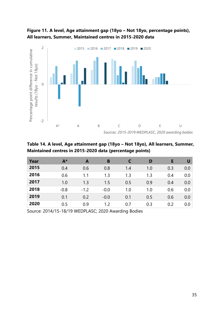

**Figure 11. A level, Age attainment gap (18yo – Not 18yo, percentage points), All learners, Summer, Maintained centres in 2015-2020 data**

**Table 14. A level, Age attainment gap (18yo – Not 18yo), All learners, Summer, Maintained centres in 2015-2020 data (percentage points)**

| Year | $A^*$  | A      | B      |     | D   | Е   | U   |
|------|--------|--------|--------|-----|-----|-----|-----|
| 2015 | 0.4    | 0.6    | 0.8    | 1.4 | 1.0 | 0.3 | 0.0 |
| 2016 | 0.6    | 1.1    | 1.3    | 1.3 | 1.3 | 0.4 | 0.0 |
| 2017 | 1.0    | 1.3    | 1.5    | 0.5 | 0.9 | 0.4 | 0.0 |
| 2018 | $-0.8$ | $-1.2$ | $-0.0$ | 1.0 | 1.0 | 0.6 | 0.0 |
| 2019 | 0.1    | 0.2    | $-0.0$ | 0.1 | 0.5 | 0.6 | 0.0 |
| 2020 | 0.5    | 0.9    | 1.2    | 0.7 | 0.3 | 0.2 | 0.0 |

Source: 2014/15-18/19 WEDPLASC; 2020 Awarding Bodies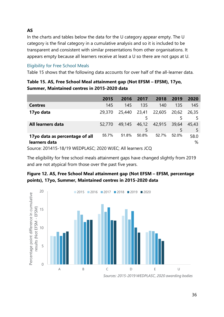# **AS**

In the charts and tables below the data for the U category appear empty. The U category is the final category in a cumulative analysis and so it is included to be transparent and consistent with similar presentations from other organisations. It appears empty because all learners receive at least a U so there are not gaps at U.

### Eligibility for Free School Meals

Table 15 shows that the following data accounts for over half of the all-learner data.

| Table 15. AS, Free School Meal attainment gap (Not EFSM – EFSM), 17yo, |  |
|------------------------------------------------------------------------|--|
| Summer, Maintained centres in 2015-2020 data                           |  |

|                                                 | 2015   | 2016   | 2017       | 2018   | 2019       | 2020        |
|-------------------------------------------------|--------|--------|------------|--------|------------|-------------|
| <b>Centres</b>                                  | 145    | 145    | 135        | 140    | 135        | 145         |
| 17yo data                                       | 29,370 | 25,440 | 23,41<br>5 | 22,605 | 20,62      | 26,35<br>5  |
| All learners data                               | 52,770 | 49,145 | 46,12<br>5 | 42,915 | 39,64<br>5 | 45,43<br>5. |
| 17yo data as percentage of all<br>learners data | 55.7%  | 51.8%  | 50.8%      | 52.7%  | 52.0%      | 58.0<br>%   |
|                                                 |        |        |            |        |            |             |

Source: 201415-18/19 WEDPLASC; 2020 WJEC; All learners JCQ

The eligibility for free school meals attainment gaps have changed slightly from 2019 and are not atypical from those over the past five years.

## **Figure 12. AS, Free School Meal attainment gap (Not EFSM – EFSM, percentage points), 17yo, Summer, Maintained centres in 2015-2020 data**



*Sources: 2015-2019 WEDPLASC, 2020 awarding bodies*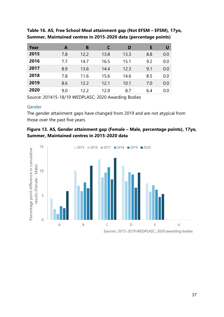| Year | A   | B    | C    | D    | Е   | U   |
|------|-----|------|------|------|-----|-----|
| 2015 | 7.8 | 12.2 | 13.8 | 13.3 | 8.8 | 0.0 |
| 2016 | 7.7 | 14.7 | 16.5 | 15.1 | 9.2 | 0.0 |
| 2017 | 8.9 | 13.6 | 14.4 | 12.3 | 9.1 | 0.0 |
| 2018 | 7.8 | 11.6 | 15.6 | 14.6 | 8.5 | 0.0 |
| 2019 | 8.6 | 12.2 | 12.1 | 10.1 | 7.0 | 0.0 |
| 2020 | 9.0 | 12.2 | 12.0 | 8.7  | 6.4 | 0.0 |

**Table 16. AS, Free School Meal attainment gap (Not EFSM – EFSM), 17yo, Summer, Maintained centres in 2015-2020 data (percentage points)**

Source: 201415-18/19 WEDPLASC; 2020 Awarding Bodies

#### Gender

The gender attainment gaps have changed from 2019 and are not atypical from those over the past five years.

## **Figure 13. AS, Gender attainment gap (Female – Male, percentage points), 17yo, Summer, Maintained centres in 2015-2020 data**

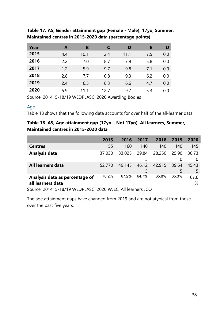| Year | A   | B    | C    | D    | Е   | U   |
|------|-----|------|------|------|-----|-----|
| 2015 | 4.4 | 10.1 | 12.4 | 11.1 | 7.5 | 0.0 |
| 2016 | 2.2 | 7.0  | 8.7  | 7.9  | 5.8 | 0.0 |
| 2017 | 1.2 | 5.9  | 9.7  | 9.8  | 7.1 | 0.0 |
| 2018 | 2.8 | 7.7  | 10.8 | 9.3  | 6.2 | 0.0 |
| 2019 | 2.4 | 6.5  | 8.3  | 6.6  | 4.7 | 0.0 |
| 2020 | 5.9 | 11 1 | 12 7 | 9.7  | 5.3 | 0.0 |

## **Table 17. AS, Gender attainment gap (Female - Male), 17yo, Summer, Maintained centres in 2015-2020 data (percentage points)**

Source: 201415-18/19 WEDPLASC; 2020 Awarding Bodies

#### Age

Table 18 shows that the following data accounts for over half of the all-learner data.

## **Table 18. AS, Age attainment gap (17yo – Not 17yo), All learners, Summer, Maintained centres in 2015-2020 data**

|                                                     | 2015   | 2016   | 2017       | 2018   | 2019       | 2020       |
|-----------------------------------------------------|--------|--------|------------|--------|------------|------------|
| <b>Centres</b>                                      | 155    | 160    | 140        | 140    | 140        | 145        |
| Analysis data                                       | 37,030 | 33,025 | 29,84<br>5 | 28,250 | 25,90<br>0 | 30,73<br>0 |
| All learners data                                   | 52,770 | 49,145 | 46,12<br>5 | 42,915 | 39,64<br>5 | 45.43      |
| Analysis data as percentage of<br>all learners data | 70.2%  | 67.2%  | 64.7%      | 65.8%  | 65.3%      | 67.6<br>%  |

Source: 201415-18/19 WEDPLASC; 2020 WJEC; All learners JCQ

The age attainment gaps have changed from 2019 and are not atypical from those over the past five years.